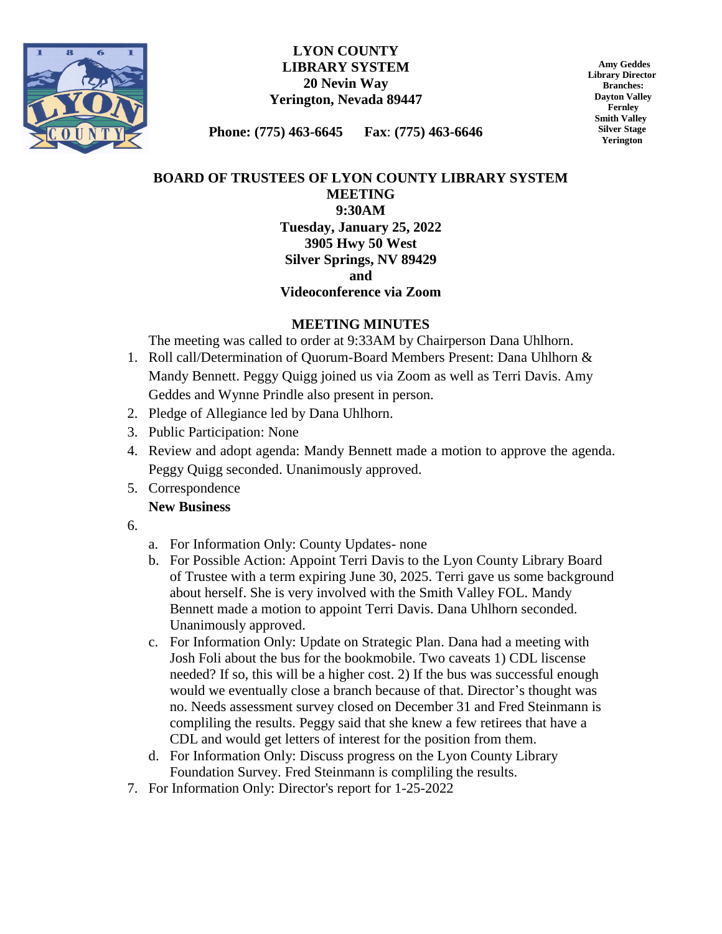

### **LYON COUNTY LIBRARY SYSTEM 20 Nevin Way Yerington, Nevada 89447**

 **Amy Geddes Library Director Branches: Dayton Valley Fernley Smith Valley Silver Stage Yerington**

**Phone: (775) 463-6645 Fax**: **(775) 463-6646**

# **BOARD OF TRUSTEES OF LYON COUNTY LIBRARY SYSTEM MEETING 9:30AM Tuesday, January 25, 2022 3905 Hwy 50 West Silver Springs, NV 89429 and**

### **Videoconference via Zoom**

# **MEETING MINUTES**

The meeting was called to order at 9:33AM by Chairperson Dana Uhlhorn.

- 1. Roll call/Determination of Quorum-Board Members Present: Dana Uhlhorn & Mandy Bennett. Peggy Quigg joined us via Zoom as well as Terri Davis. Amy Geddes and Wynne Prindle also present in person.
- 2. Pledge of Allegiance led by Dana Uhlhorn.
- 3. Public Participation: None
- 4. Review and adopt agenda: Mandy Bennett made a motion to approve the agenda. Peggy Quigg seconded. Unanimously approved.
- 5. Correspondence

# **New Business**

- 6.
- a. For Information Only: County Updates- none
- b. For Possible Action: Appoint Terri Davis to the Lyon County Library Board of Trustee with a term expiring June 30, 2025. Terri gave us some background about herself. She is very involved with the Smith Valley FOL. Mandy Bennett made a motion to appoint Terri Davis. Dana Uhlhorn seconded. Unanimously approved.
- c. For Information Only: Update on Strategic Plan. Dana had a meeting with Josh Foli about the bus for the bookmobile. Two caveats 1) CDL liscense needed? If so, this will be a higher cost. 2) If the bus was successful enough would we eventually close a branch because of that. Director's thought was no. Needs assessment survey closed on December 31 and Fred Steinmann is compliling the results. Peggy said that she knew a few retirees that have a CDL and would get letters of interest for the position from them.
- d. For Information Only: Discuss progress on the Lyon County Library Foundation Survey. Fred Steinmann is compliling the results.
- 7. For Information Only: Director's report for 1-25-2022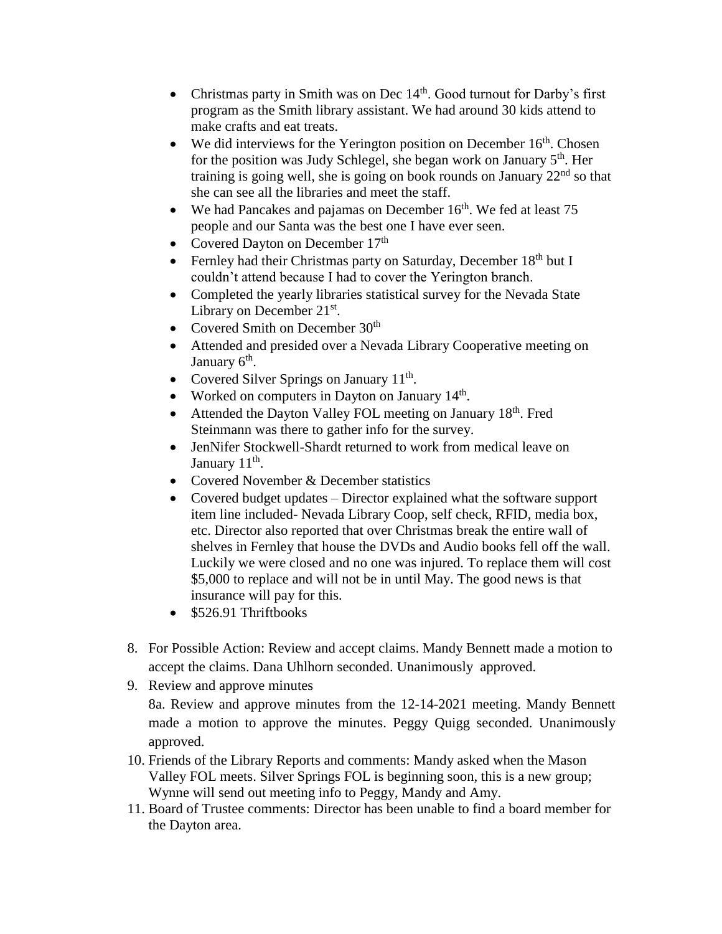- Christmas party in Smith was on Dec  $14<sup>th</sup>$ . Good turnout for Darby's first program as the Smith library assistant. We had around 30 kids attend to make crafts and eat treats.
- We did interviews for the Yerington position on December  $16<sup>th</sup>$ . Chosen for the position was Judy Schlegel, she began work on January  $5<sup>th</sup>$ . Her training is going well, she is going on book rounds on January  $22<sup>nd</sup>$  so that she can see all the libraries and meet the staff.
- We had Pancakes and pajamas on December  $16<sup>th</sup>$ . We fed at least 75 people and our Santa was the best one I have ever seen.
- Covered Dayton on December 17<sup>th</sup>
- Fernley had their Christmas party on Saturday, December  $18<sup>th</sup>$  but I couldn't attend because I had to cover the Yerington branch.
- Completed the yearly libraries statistical survey for the Nevada State Library on December  $21^{st}$ .
- Covered Smith on December 30<sup>th</sup>
- Attended and presided over a Nevada Library Cooperative meeting on January 6<sup>th</sup>.
- Covered Silver Springs on January  $11<sup>th</sup>$ .
- Worked on computers in Dayton on January 14<sup>th</sup>.
- Attended the Dayton Valley FOL meeting on January 18<sup>th</sup>. Fred Steinmann was there to gather info for the survey.
- JenNifer Stockwell-Shardt returned to work from medical leave on January 11<sup>th</sup>.
- Covered November & December statistics
- Covered budget updates Director explained what the software support item line included- Nevada Library Coop, self check, RFID, media box, etc. Director also reported that over Christmas break the entire wall of shelves in Fernley that house the DVDs and Audio books fell off the wall. Luckily we were closed and no one was injured. To replace them will cost \$5,000 to replace and will not be in until May. The good news is that insurance will pay for this.
- \$526.91 Thriftbooks
- 8. For Possible Action: Review and accept claims. Mandy Bennett made a motion to accept the claims. Dana Uhlhorn seconded. Unanimously approved.
- 9. Review and approve minutes

8a. Review and approve minutes from the 12-14-2021 meeting. Mandy Bennett made a motion to approve the minutes. Peggy Quigg seconded. Unanimously approved.

- 10. Friends of the Library Reports and comments: Mandy asked when the Mason Valley FOL meets. Silver Springs FOL is beginning soon, this is a new group; Wynne will send out meeting info to Peggy, Mandy and Amy.
- 11. Board of Trustee comments: Director has been unable to find a board member for the Dayton area.